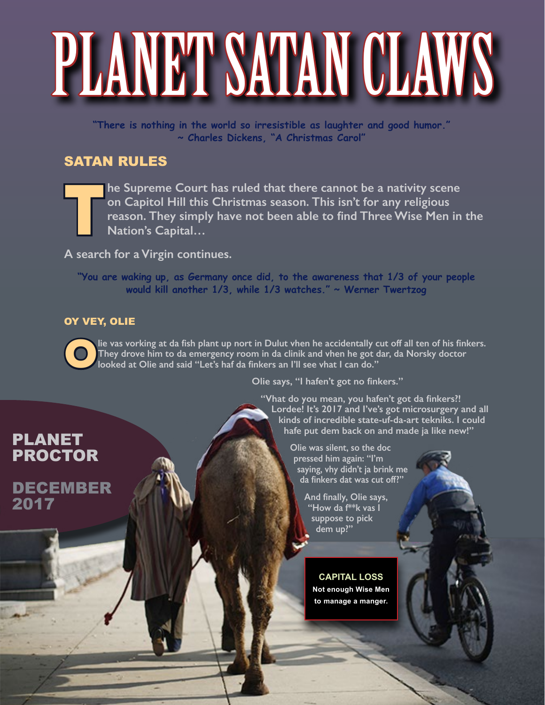# PLANET SATAN CLAWS

**"There is nothing in the world so irresistible as laughter and good humor." ~ Charles Dickens, "A Christmas Carol"**

### SATAN RULES

The Supreme Court has ruled that there cannot be a nativity scene<br>on Capitol Hill this Christmas season. This isn't for any religious<br>reason. They simply have not been able to find Three Wise Men in<br>Nation's Capital... **on Capitol Hill this Christmas season. This isn't for any religious reason. They simply have not been able to find Three Wise Men in the Nation's Capital…**

**A search for a Virgin continues.**

**"You are waking up, as Germany once did, to the awareness that 1/3 of your people would kill another 1/3, while 1/3 watches." ~ Werner Twertzog**

#### OY VEY, OLIE

**Olie vas vorking at da fish plant up nort in Dulut vhen he accidentally cut off all ten of his finkers. They drove him to da emergency room in da clinik and vhen he got dar, da Norsky doctor looked at Olie and said "Let's haf da finkers an I'll see vhat I can do."** 

**Olie says, "I hafen't got no finkers."** 

**"Vhat do you mean, you hafen't got da finkers?! Lordee! It's 2017 and I've's got microsurgery and all kinds of incredible state-uf-da-art tekniks. I could hafe put dem back on and made ja like new!"** 

> **Olie was silent, so the doc pressed him again: "I'm saying, vhy didn't ja brink me da finkers dat was cut off?"**

> > **And finally, Olie says, "How da f\*\*k vas I suppose to pick dem up?"**

**CAPITAL LOSS Not enough Wise Men to manage a manger.**

## PLANET PROCTOR

DECEMBER 2017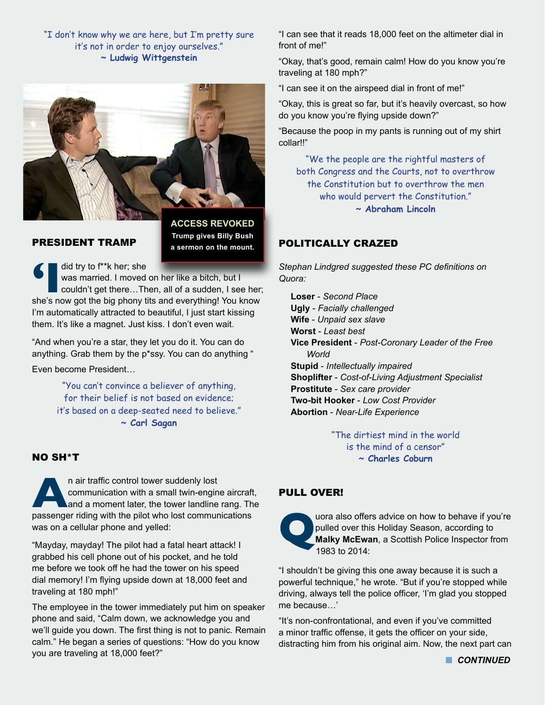"I don't know why we are here, but I'm pretty sure it's not in order to enjoy ourselves." **~ Ludwig Wittgenstein**



#### PRESIDENT TRAMP

**ACCESS REVOKED Trump gives Billy Bush a sermon on the mount.**

**f** was married. I moved on her like a bitch, but I couldn't get there...Then, all of a sudden, I see her; she's now got the big phony tits and everything! You know was married. I moved on her like a bitch, but I couldn't get there…Then, all of a sudden, I see her; I'm automatically attracted to beautiful, I just start kissing them. It's like a magnet. Just kiss. I don't even wait.

"And when you're a star, they let you do it. You can do anything. Grab them by the p\*ssy. You can do anything "

Even become President…

"You can't convince a believer of anything, for their belief is not based on evidence; it's based on a deep-seated need to believe." **~ Carl Sagan**

#### NO SH\*T

**An air traffic control tower suddenly lost** communication with a small twin-engine aircraft and a moment later, the tower landline rang. The passenger riding with the pilot who lost communications communication with a small twin-engine aircraft, and a moment later, the tower landline rang. The was on a cellular phone and yelled:

"Mayday, mayday! The pilot had a fatal heart attack! I grabbed his cell phone out of his pocket, and he told me before we took off he had the tower on his speed dial memory! I'm flying upside down at 18,000 feet and traveling at 180 mph!"

The employee in the tower immediately put him on speaker phone and said, "Calm down, we acknowledge you and we'll guide you down. The first thing is not to panic. Remain calm." He began a series of questions: "How do you know you are traveling at 18,000 feet?"

"I can see that it reads 18,000 feet on the altimeter dial in front of me!"

"Okay, that's good, remain calm! How do you know you're traveling at 180 mph?"

"I can see it on the airspeed dial in front of me!"

"Okay, this is great so far, but it's heavily overcast, so how do you know you're flying upside down?"

"Because the poop in my pants is running out of my shirt collar!!"

"We the people are the rightful masters of both Congress and the Courts, not to overthrow the Constitution but to overthrow the men who would pervert the Constitution." **~ Abraham Lincoln** 

#### POLITICALLY CRAZED

*Stephan Lindgred suggested these PC definitions on Quora:* 

**Loser** - *Second Place* **Ugly** - *Facially challenged* **Wife** - *Unpaid sex slave* **Worst** - *Least best* **Vice President** - *Post-Coronary Leader of the Free World* **Stupid** - *Intellectually impaired* **Shoplifter** - *Cost-of-Living Adjustment Specialist* **Prostitute** - *Sex care provider* **Two-bit Hooker** - *Low Cost Provider* **Abortion** - *Near-Life Experience*

> "The dirtiest mind in the world is the mind of a censor" **~ Charles Coburn**

#### PULL OVER!



**Quora also offers advice on how to behave if you're pulled over this Holiday Season, according to Malky McEwan, a Scottish Police Inspector from 1983 to 2014:** pulled over this Holiday Season, according to **Malky McEwan**, a Scottish Police Inspector from 1983 to 2014:

"I shouldn't be giving this one away because it is such a powerful technique," he wrote. "But if you're stopped while driving, always tell the police officer, 'I'm glad you stopped me because…'

"It's non-confrontational, and even if you've committed a minor traffic offense, it gets the officer on your side, distracting him from his original aim. Now, the next part can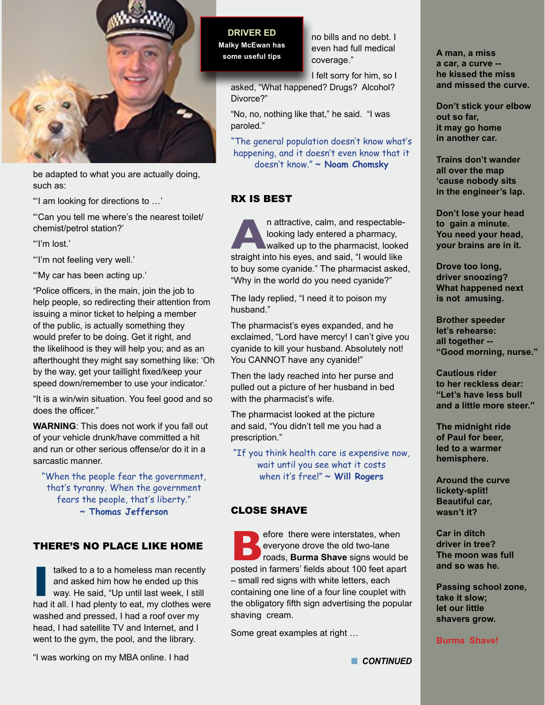

be adapted to what you are actually doing, such as:

"'I am looking for directions to …'

"'Can you tell me where's the nearest toilet/ chemist/petrol station?'

"'I'm lost.'

"'I'm not feeling very well.'

"'My car has been acting up.'

"Police officers, in the main, join the job to help people, so redirecting their attention from issuing a minor ticket to helping a member of the public, is actually something they would prefer to be doing. Get it right, and the likelihood is they will help you; and as an afterthought they might say something like: 'Oh by the way, get your taillight fixed/keep your speed down/remember to use your indicator.'

"It is a win/win situation. You feel good and so does the officer."

**WARNING**: This does not work if you fall out of your vehicle drunk/have committed a hit and run or other serious offense/or do it in a sarcastic manner.

"When the people fear the government, that's tyranny. When the government fears the people, that's liberty."

**~ Thomas Jefferson**

#### THERE'S NO PLACE LIKE HOME

III alked to a to a homeless man recently<br>and asked him how he ended up this<br>way. He said, "Up until last week, I still<br>had it all. I had plenty to eat, my clothes were talked to a to a homeless man recently and asked him how he ended up this way. He said, "Up until last week, I still washed and pressed, I had a roof over my head, I had satellite TV and Internet, and I went to the gym, the pool, and the library.

"I was working on my MBA online. I had

**DRIVER ED Malky McEwan has some useful tips**

no bills and no debt. I even had full medical coverage."

I felt sorry for him, so I

asked, "What happened? Drugs? Alcohol? Divorce?"

"No, no, nothing like that," he said. "I was paroled."

"The general population doesn't know what's happening, and it doesn't even know that it doesn't know." **~ Noam Chomsky**

#### RX IS BEST

**A**n attractive, calm, and respectable-<br>looking lady entered a pharmacy,<br>straight into his eyes, and said, "I would like looking lady entered a pharmacy, walked up to the pharmacist, looked to buy some cyanide." The pharmacist asked, "Why in the world do you need cyanide?"

The lady replied, "I need it to poison my husband."

The pharmacist's eyes expanded, and he exclaimed, "Lord have mercy! I can't give you cyanide to kill your husband. Absolutely not! You CANNOT have any cyanide!"

Then the lady reached into her purse and pulled out a picture of her husband in bed with the pharmacist's wife.

The pharmacist looked at the picture and said, "You didn't tell me you had a prescription."

"If you think health care is expensive now, wait until you see what it costs when it's free!" **~ Will Rogers**

#### CLOSE SHAVE

**Before there were interstates, when**<br> **Before the old two-lane**<br>
posted in farmers' fields about 100 feet apart everyone drove the old two-lane roads, **Burma Shave** signs would be – small red signs with white letters, each containing one line of a four line couplet with the obligatory fifth sign advertising the popular shaving cream.

Some great examples at right …

**A man, a miss a car, a curve - he kissed the miss and missed the curve.** 

**Don't stick your elbow out so far, it may go home in another car.** 

**Trains don't wander all over the map 'cause nobody sits in the engineer's lap.** 

**Don't lose your head to gain a minute. You need your head, your brains are in it.** 

**Drove too long, driver snoozing? What happened next is not amusing.** 

**Brother speeder let's rehearse: all together -- "Good morning, nurse."** 

**Cautious rider to her reckless dear: "Let's have less bull and a little more steer."** 

**The midnight ride of Paul for beer, led to a warmer hemisphere.** 

**Around the curve lickety-split! Beautiful car, wasn't it?**

**Car in ditch driver in tree? The moon was full and so was he.** 

**Passing school zone, take it slow; let our little shavers grow.** 

**Burma Shave!**

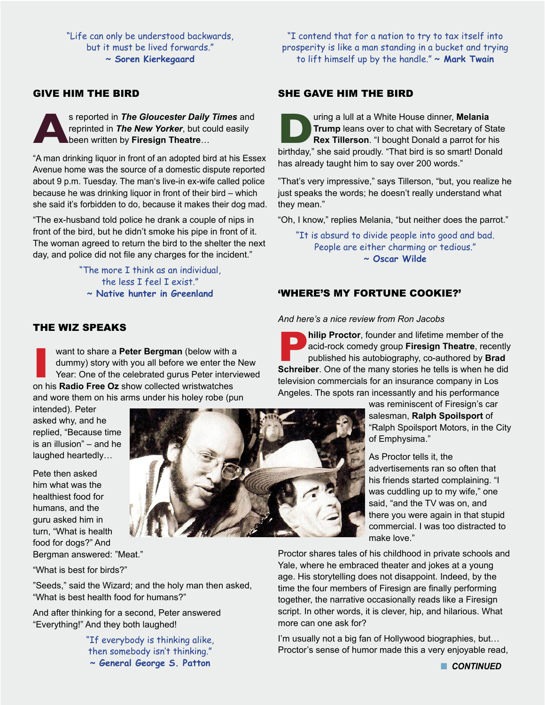"Life can only be understood backwards, but it must be lived forwards." **~ Soren Kierkegaard**

#### GIVE HIM THE BIRD

**As reported in** *The Gloucester Daily Times* and reprinted in *The New Yorker*, but could easily been written by Firesign Theatre... reprinted in *The New Yorker*, but could easily been written by **Firesign Theatre**…

"A man drinking liquor in front of an adopted bird at his Essex Avenue home was the source of a domestic dispute reported about 9 p.m. Tuesday. The man's live-in ex-wife called police because he was drinking liquor in front of their bird – which she said it's forbidden to do, because it makes their dog mad.

"The ex-husband told police he drank a couple of nips in front of the bird, but he didn't smoke his pipe in front of it. The woman agreed to return the bird to the shelter the next day, and police did not file any charges for the incident."

> "The more I think as an individual, the less I feel I exist." **~ Native hunter in Greenland**

"I contend that for a nation to try to tax itself into prosperity is like a man standing in a bucket and trying to lift himself up by the handle." **~ Mark Twain**

#### SHE GAVE HIM THE BIRD

**During a lull at a White House dinner, Melania Trump leans over to chat with Secretary of State Rex Tillerson. "I bought Donald a parrot for his birthday," she said proudly. "That bird is so smart! Donald Trump** leans over to chat with Secretary of State **Rex Tillerson**. "I bought Donald a parrot for his has already taught him to say over 200 words."

"That's very impressive," says Tillerson, "but, you realize he just speaks the words; he doesn't really understand what they mean."

"Oh, I know," replies Melania, "but neither does the parrot."

"It is absurd to divide people into good and bad. People are either charming or tedious." **~ Oscar Wilde**

#### 'WHERE'S MY FORTUNE COOKIE?'

*And here's a nice review from Ron Jacobs*

**Philip Proctor**, founder and lifetime member of the acid-rock comedy group **Firesign Theatre**, recentl published his autobiography, co-authored by **Brad**<br>Schreiber. One of the many stories he tells is when he did acid-rock comedy group **Firesign Theatre**, recently published his autobiography, co-authored by **Brad Schreiber**. One of the many stories he tells is when he did television commercials for an insurance company in Los Angeles. The spots ran incessantly and his performance

> was reminiscent of Firesign's car salesman, **Ralph Spoilsport** of "Ralph Spoilsport Motors, in the City of Emphysima."

As Proctor tells it, the advertisements ran so often that his friends started complaining. "I was cuddling up to my wife," one said, "and the TV was on, and there you were again in that stupid commercial. I was too distracted to make love."

Proctor shares tales of his childhood in private schools and Yale, where he embraced theater and jokes at a young age. His storytelling does not disappoint. Indeed, by the time the four members of Firesign are finally performing together, the narrative occasionally reads like a Firesign script. In other words, it is clever, hip, and hilarious. What more can one ask for?

I'm usually not a big fan of Hollywood biographies, but… Proctor's sense of humor made this a very enjoyable read,

#### THE WIZ SPEAKS

want to share a **Peter Bergman** (below with a dummy) story with you all before we enter the Year: One of the celebrated gurus Peter intervon his **Radio Free Oz** show collected wristwatches want to share a **Peter Bergman** (below with a dummy) story with you all before we enter the New Year: One of the celebrated gurus Peter interviewed and wore them on his arms under his holey robe (pun

intended). Peter asked why, and he replied, "Because time is an illusion" – and he laughed heartedly…

Pete then asked him what was the healthiest food for humans, and the guru asked him in turn, "What is health food for dogs?" And Bergman answered: "Meat."

"What is best for birds?"

"Seeds," said the Wizard; and the holy man then asked, "What is best health food for humans?"

And after thinking for a second, Peter answered "Everything!" And they both laughed!

> "If everybody is thinking alike, then somebody isn't thinking." **~ General George S. Patton**